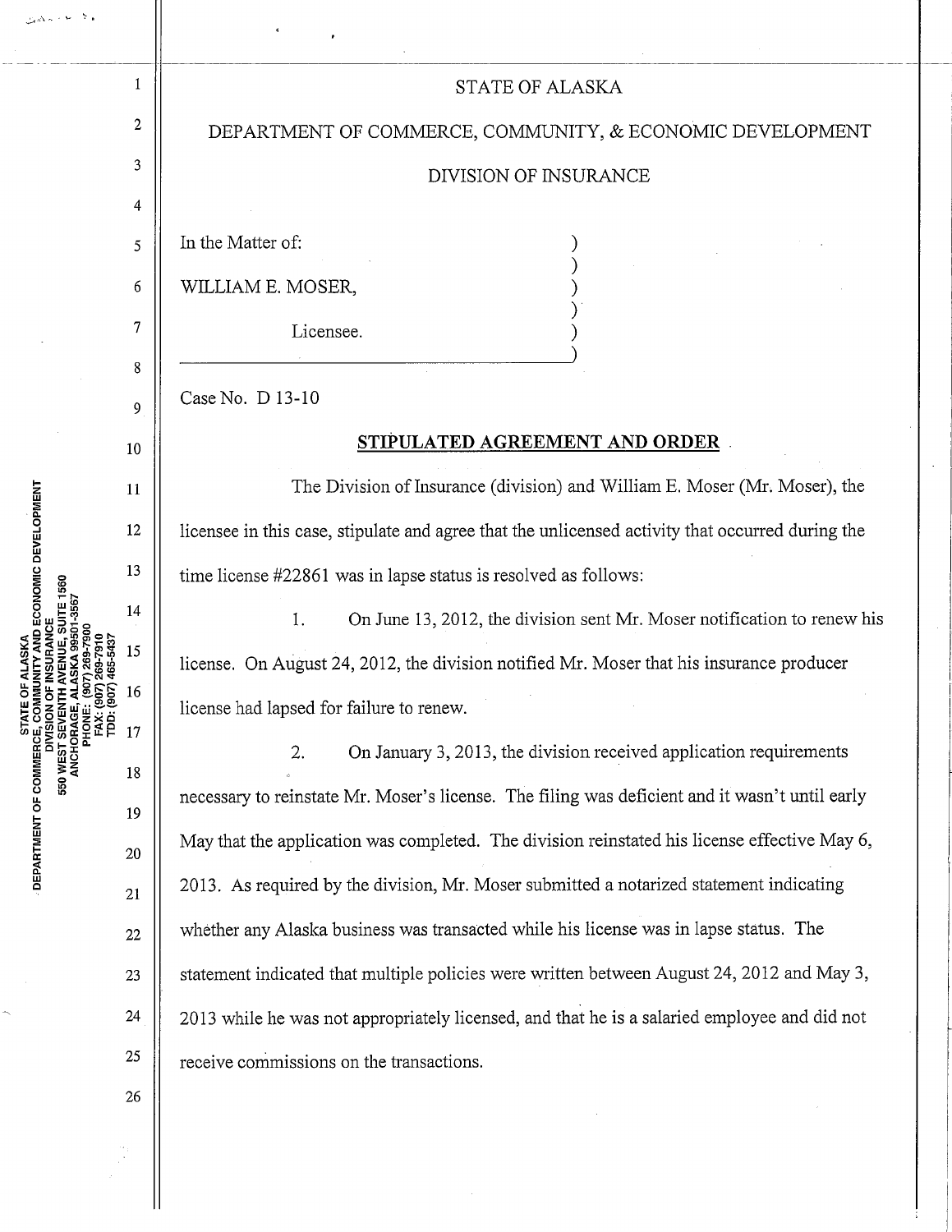| 907) 269-7900<br>17) 269-7910<br>17) 465-5437<br><b>COG</b><br>호중호 | 1  | STATE OF ALASKA                                                                                  |
|--------------------------------------------------------------------|----|--------------------------------------------------------------------------------------------------|
|                                                                    | 2  | DEPARTMENT OF COMMERCE, COMMUNITY, & ECONOMIC DEVELOPMENT                                        |
|                                                                    | 3  | DIVISION OF INSURANCE                                                                            |
|                                                                    | 4  |                                                                                                  |
|                                                                    | 5  | In the Matter of:                                                                                |
|                                                                    | 6  | WILLIAM E. MOSER,                                                                                |
|                                                                    | 7  | Licensee.                                                                                        |
|                                                                    | 8  |                                                                                                  |
|                                                                    | 9  | Case No. D 13-10                                                                                 |
|                                                                    | 10 | STIPULATED AGREEMENT AND ORDER                                                                   |
|                                                                    | 11 | The Division of Insurance (division) and William E. Moser (Mr. Moser), the                       |
|                                                                    | 12 | licensee in this case, stipulate and agree that the unlicensed activity that occurred during the |
|                                                                    | 13 | time license #22861 was in lapse status is resolved as follows:                                  |
|                                                                    | 14 | On June 13, 2012, the division sent Mr. Moser notification to renew his<br>1.                    |
|                                                                    | 15 | license. On August 24, 2012, the division notified Mr. Moser that his insurance producer         |
|                                                                    | 16 | license had lapsed for failure to renew.                                                         |
|                                                                    | 17 | On January 3, 2013, the division received application requirements<br>2.                         |
|                                                                    | 18 | necessary to reinstate Mr. Moser's license. The filing was deficient and it wasn't until early   |
|                                                                    | 19 | May that the application was completed. The division reinstated his license effective May 6,     |
|                                                                    | 20 |                                                                                                  |
|                                                                    | 21 | 2013. As required by the division, Mr. Moser submitted a notarized statement indicating          |
|                                                                    | 22 | whether any Alaska business was transacted while his license was in lapse status. The            |
|                                                                    | 23 | statement indicated that multiple policies were written between August 24, 2012 and May 3,       |
|                                                                    | 24 | 2013 while he was not appropriately licensed, and that he is a salaried employee and did not     |
|                                                                    | 25 | receive commissions on the transactions.                                                         |
|                                                                    | 26 |                                                                                                  |

 $\hat{\mathcal{L}}$ 

- DEPARTMENT OF COMMERCE, COMMUNITY AND ECONOMIC DEVELOPMENT<br>DIVISION OF INSURANCE<br>550 WEST SEVENTH AVENUE, SUITE 1560<br>ANCHORAGE, ALASKA 99501-3567

 $\ddot{\phantom{0}}$ 

 $\frac{1}{2}$ 

.<br>والأساط المحافظ

ب بند ت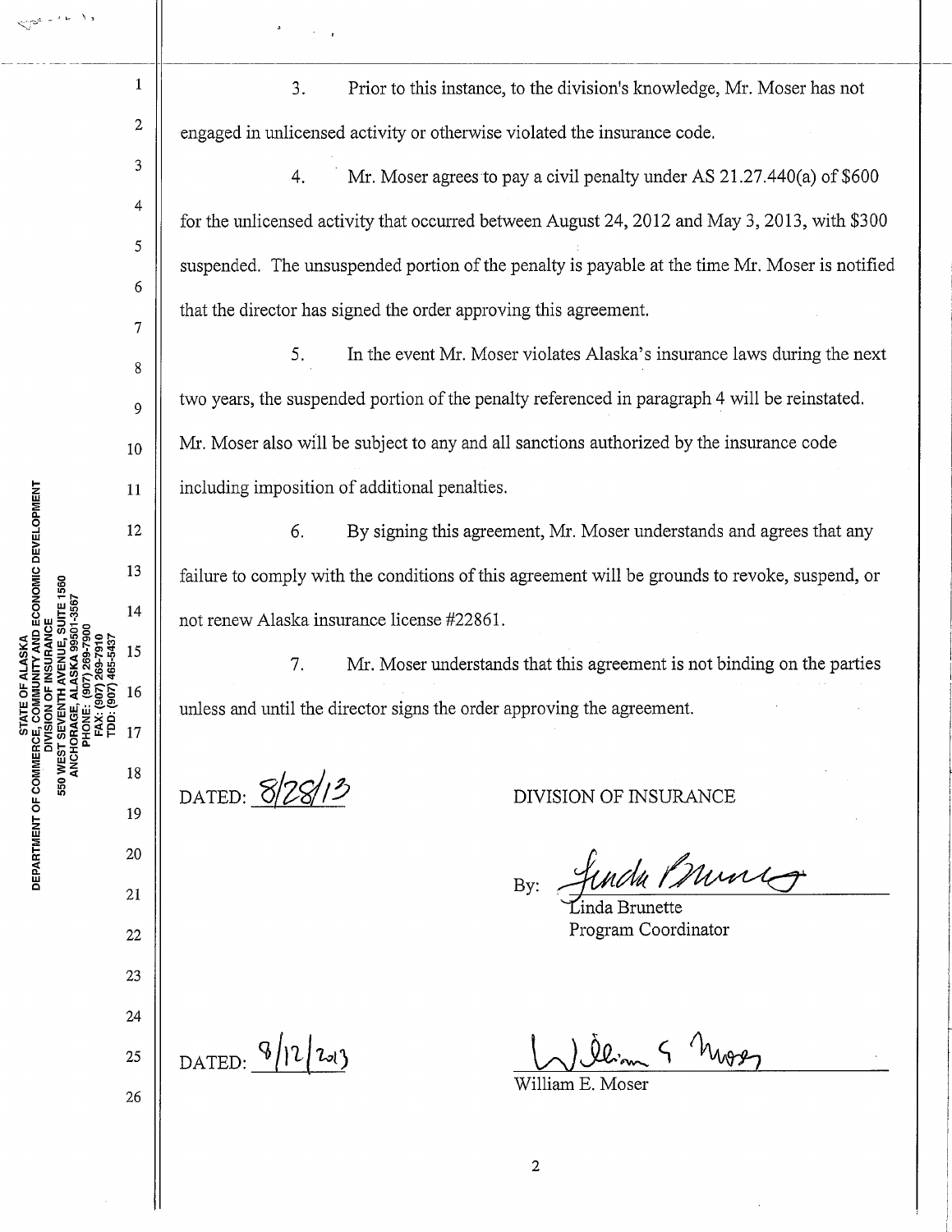1

 $\lambda$   $\lambda$ 

2

3

4

5

6

7

8

9

10

3. Prior to this instance, to the division's knowledge, Mr. Moser has not engaged in tmlicensed activity or otherwise violated the insurance code.

4. Mr. Moser agrees to pay a civil penalty under AS 21.27.440(a) of \$600 for the unlicensed activity that occurred between August 24, 2012 and May 3, 2013, with \$300 suspended. The unsuspended portion of the penalty is payable at the time Mr. Moser is notified that the director has signed the order approving this agreement.

5. In the event Mr. Moser violates Alaska's insurance laws during the next two years, the suspended portion of the penalty referenced in paragraph 4 will be reinstated. Mr. Moser also will be subject to any and all sanctions authorized by the insurance code including imposition of additional penalties.

6. By signing this agreement, Mr. Moser understands and agrees that any failure to comply with the conditions of this agreement will be grounds to revoke, suspend, or not renew Alaska insurance license #22861.

7. Mr. Moser understands that this agreement is not binding on the parties unless and until the director signs the order approving the agreement.

DATED: **8/28/13** DIVISION OF INSURANCE

undu Prunicy

Program Coordinator

DATED:  $9/220$ 

25

26

Mos

William E. Moser

2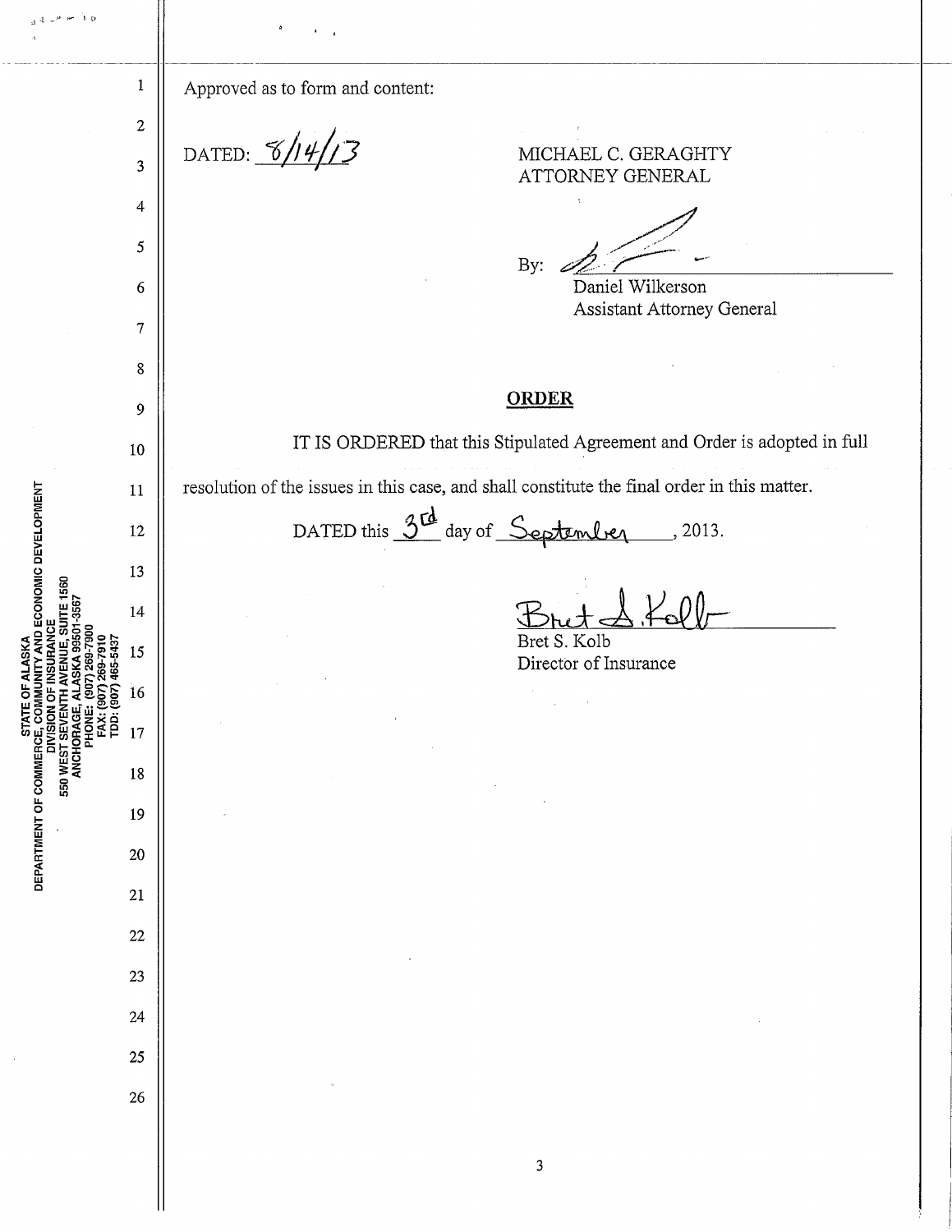| se h b                                                                                              |                       | $\pmb{q}$                                                                                   |
|-----------------------------------------------------------------------------------------------------|-----------------------|---------------------------------------------------------------------------------------------|
|                                                                                                     | $\mathbf 1$           | Approved as to form and content:                                                            |
|                                                                                                     | $\boldsymbol{2}$<br>3 | DATED: $\frac{8}{\sqrt{2}}$<br>MICHAEL C. GERAGHTY                                          |
|                                                                                                     | 4                     | ATTORNEY GENERAL                                                                            |
|                                                                                                     | 5                     |                                                                                             |
|                                                                                                     | 6                     | By:<br>Daniel Wilkerson                                                                     |
|                                                                                                     | $\tau$                | Assistant Attorney General                                                                  |
|                                                                                                     | 8                     |                                                                                             |
|                                                                                                     | 9                     | <b>ORDER</b>                                                                                |
|                                                                                                     | 10                    | IT IS ORDERED that this Stipulated Agreement and Order is adopted in full                   |
|                                                                                                     | 11                    | resolution of the issues in this case, and shall constitute the final order in this matter. |
| ECONOMIC DEVELOPMENT                                                                                | 12                    | DATED this 3 <sup>rd</sup> day of September<br>, 2013.                                      |
|                                                                                                     | 13                    |                                                                                             |
| ITE 1560<br>3567                                                                                    | 14                    |                                                                                             |
|                                                                                                     | 15                    | Bret S. Kolb<br>Director of Insurance                                                       |
|                                                                                                     | 16                    |                                                                                             |
| <b>550 WEST SEVENTI</b><br>ANCHORAGE, A<br>PHONE: (PHONE: CONE)<br>FAX: (90<br>FAX: (90<br>TDD: CON | 17                    |                                                                                             |
|                                                                                                     | 18                    |                                                                                             |
| $\bullet$                                                                                           | 19                    |                                                                                             |
| <b>STATE</b><br>DEPARTMENT OF COMMERCE, COM<br>DIVISION                                             | 20                    |                                                                                             |
|                                                                                                     | 21                    |                                                                                             |
|                                                                                                     | 22                    |                                                                                             |
|                                                                                                     | 23                    |                                                                                             |
|                                                                                                     | 24                    |                                                                                             |
|                                                                                                     | 25                    |                                                                                             |
|                                                                                                     | 26                    |                                                                                             |
|                                                                                                     |                       |                                                                                             |
|                                                                                                     |                       | 3                                                                                           |